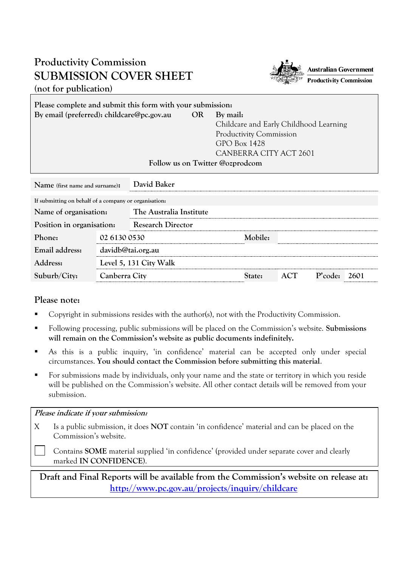## **Productivity Commission SUBMISSION COVER SHEET (not for publication)**



| Please complete and submit this form with your submission. |           |                                                       |  |  |  |  |  |
|------------------------------------------------------------|-----------|-------------------------------------------------------|--|--|--|--|--|
| By email (preferred): childcare@pc.gov.au                  | <b>OR</b> | By mail:                                              |  |  |  |  |  |
|                                                            |           | Childcare and Early Childhood Learning                |  |  |  |  |  |
|                                                            |           | <b>Productivity Commission</b><br><b>GPO</b> Box 1428 |  |  |  |  |  |
|                                                            |           |                                                       |  |  |  |  |  |
|                                                            |           | CANBERRA CITY ACT 2601                                |  |  |  |  |  |
| Follow us on Twitter @ozprodcom                            |           |                                                       |  |  |  |  |  |

| Name (first name and surname):                        |                        | David Baker              |         |     |         |      |  |
|-------------------------------------------------------|------------------------|--------------------------|---------|-----|---------|------|--|
| If submitting on behalf of a company or organisation. |                        |                          |         |     |         |      |  |
| Name of organisation:                                 |                        | The Australia Institute  |         |     |         |      |  |
| Position in organisation:                             |                        | <b>Research Director</b> |         |     |         |      |  |
| Phone:                                                | 02 6130 0530           |                          | Mobile: |     |         |      |  |
| Email address:                                        | davidb@tai.org.au      |                          |         |     |         |      |  |
| Address:                                              | Level 5, 131 City Walk |                          |         |     |         |      |  |
| Suburb/City:                                          | Canberra City          |                          | tate:   | ACT | P'code: | 2601 |  |

## **Please note:**

- [Copyright](http://www.pc.gov.au/legal/copyright.html) in submissions resides with the author(s), not with the Productivity Commission.
- Following processing, public submissions will be placed on the Commission's website. **Submissions will remain on the Commission's website as public documents indefinitely.**
- As this is a public inquiry, 'in confidence' material can be accepted only under special circumstances. **You should contact the Commission before submitting this material**.
- For submissions made by individuals, only your name and the state or territory in which you reside will be published on the Commission's website. All other contact details will be removed from your submission.

## **Please indicate if your submission:**

X Is a public submission, it does **NOT** contain 'in confidence' material and can be placed on the Commission's website.

Contains **SOME** material supplied 'in confidence' (provided under separate cover and clearly marked **IN CONFIDENCE**).

**Draft and Final Reports will be available from the Commission's website on release at: <http://www.pc.gov.au/projects/inquiry/childcare>**